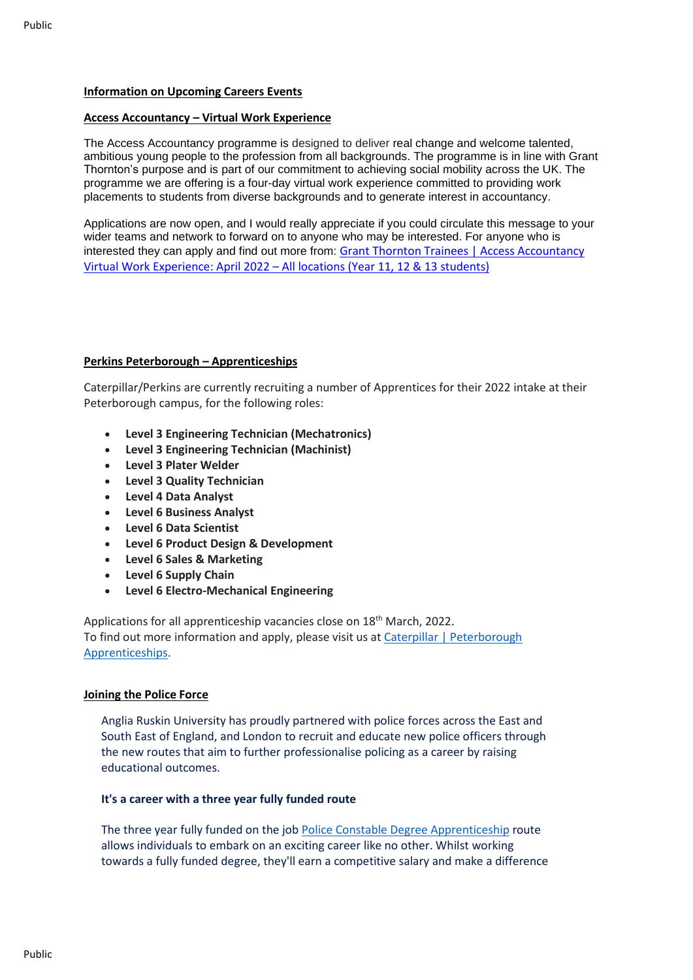## **Information on Upcoming Careers Events**

## **Access Accountancy – Virtual Work Experience**

The Access Accountancy programme is designed to deliver real change and welcome talented, ambitious young people to the profession from all backgrounds. The programme is in line with Grant Thornton's purpose and is part of our commitment to achieving social mobility across the UK. The programme we are offering is a four-day virtual work experience committed to providing work placements to students from diverse backgrounds and to generate interest in accountancy.

Applications are now open, and I would really appreciate if you could circulate this message to your wider teams and network to forward on to anyone who may be interested. For anyone who is interested they can apply and find out more from: Grant Thornton Trainees | Access [Accountancy](https://eur01.safelinks.protection.outlook.com/?url=https%3A%2F%2Ftrainees.grantthornton.co.uk%2Ftrainee-positions%2Fjob-details%2F%3Fid%3Djob_posting-3-33414%26pp%3D6959&data=04%7C01%7Cribrahim%40cityofpeterboroughacademy.org%7Ce4b00db855514fa388b408d9ea34bd5b%7Ca091745ab7d84d7ab2a61359053d4510%7C0%7C0%7C637798334523335398%7CUnknown%7CTWFpbGZsb3d8eyJWIjoiMC4wLjAwMDAiLCJQIjoiV2luMzIiLCJBTiI6Ik1haWwiLCJXVCI6Mn0%3D%7C3000&sdata=%2BDSciiXiDdi6eyPYRKcsuwQAJexd8csmq6iH0G9c%2FC0%3D&reserved=0) Virtual Work [Experience:](https://eur01.safelinks.protection.outlook.com/?url=https%3A%2F%2Ftrainees.grantthornton.co.uk%2Ftrainee-positions%2Fjob-details%2F%3Fid%3Djob_posting-3-33414%26pp%3D6959&data=04%7C01%7Cribrahim%40cityofpeterboroughacademy.org%7Ce4b00db855514fa388b408d9ea34bd5b%7Ca091745ab7d84d7ab2a61359053d4510%7C0%7C0%7C637798334523335398%7CUnknown%7CTWFpbGZsb3d8eyJWIjoiMC4wLjAwMDAiLCJQIjoiV2luMzIiLCJBTiI6Ik1haWwiLCJXVCI6Mn0%3D%7C3000&sdata=%2BDSciiXiDdi6eyPYRKcsuwQAJexd8csmq6iH0G9c%2FC0%3D&reserved=0) April 2022 – All locations (Year 11, 12 & 13 students)

## **Perkins Peterborough – Apprenticeships**

Caterpillar/Perkins are currently recruiting a number of Apprentices for their 2022 intake at their Peterborough campus, for the following roles:

- **Level 3 Engineering Technician (Mechatronics)**
- **Level 3 Engineering Technician (Machinist)**
- **Level 3 Plater Welder**
- **Level 3 Quality Technician**
- **Level 4 Data Analyst**
- **Level 6 Business Analyst**
- **Level 6 Data Scientist**
- **Level 6 Product Design & Development**
- **Level 6 Sales & Marketing**
- **Level 6 Supply Chain**
- **Level 6 Electro-Mechanical Engineering**

Applications for all apprenticeship vacancies close on 18<sup>th</sup> March, 2022. To find out more information and apply, please visit us at Caterpillar | [Peterborough](https://eur01.safelinks.protection.outlook.com/?url=https%3A%2F%2Fwww.caterpillar.com%2Fpeterboroughapprenticeships&data=04%7C01%7Cribrahim%40cityofpeterboroughacademy.org%7C4fc4ac7ee08248daebe308d9db2c7f0d%7Ca091745ab7d84d7ab2a61359053d4510%7C0%7C0%7C637781806453263683%7CUnknown%7CTWFpbGZsb3d8eyJWIjoiMC4wLjAwMDAiLCJQIjoiV2luMzIiLCJBTiI6Ik1haWwiLCJXVCI6Mn0%3D%7C3000&sdata=0npBlKiFzypQ%2Fb1H1rLOwRSmEiQkYImCsqKKX1h6FJo%3D&reserved=0) [Apprenticeships.](https://eur01.safelinks.protection.outlook.com/?url=https%3A%2F%2Fwww.caterpillar.com%2Fpeterboroughapprenticeships&data=04%7C01%7Cribrahim%40cityofpeterboroughacademy.org%7C4fc4ac7ee08248daebe308d9db2c7f0d%7Ca091745ab7d84d7ab2a61359053d4510%7C0%7C0%7C637781806453263683%7CUnknown%7CTWFpbGZsb3d8eyJWIjoiMC4wLjAwMDAiLCJQIjoiV2luMzIiLCJBTiI6Ik1haWwiLCJXVCI6Mn0%3D%7C3000&sdata=0npBlKiFzypQ%2Fb1H1rLOwRSmEiQkYImCsqKKX1h6FJo%3D&reserved=0)

## **Joining the Police Force**

Anglia Ruskin University has proudly partnered with police forces across the East and South East of England, and London to recruit and educate new police officers through the new routes that aim to further professionalise policing as a career by raising educational outcomes.

## **It's a career with a three year fully funded route**

The three year fully funded on the job Police Constable Degree [Apprenticeship](https://eur01.safelinks.protection.outlook.com/?url=http%3A%2F%2Felink.aru.ac.uk%2Fc%2F7%2FeyJhaSI6ODY4MDA5OTksImUiOiJyaWJyYWhpbUBjaXR5b2ZwZXRlcmJvcm91Z2hhY2FkZW15Lm9yZyIsInJpIjoiY29udGFjdC1lYzk3NTg0ZDUwNWRlYTExODEwYzAwNTA1NmE1NzcxOS0wODkzYWRjMTcwOGI0NDMxYTM4NDFkM2YyZjc0MTY3OSIsInJxIjoicDEtYjIyMDM1LTE2NjBhMTIzMDAzYTQzZTY4ZjdiYjViMWUwYzdkMWUwIiwicGgiOm51bGwsIm0iOmZhbHNlLCJ1aSI6IjUiLCJ1biI6IiIsInUiOiJodHRwczovL2FydS5hYy51ay9zdHVkeS9kZWdyZWUtYXBwcmVudGljZXNoaXBzL2JlY29tZS1hLXBvbGljZS1vZmZpY2VyP19jbGRlZT1jbWxpY21Gb2FXMUFZMmwwZVc5bWNHVjBaWEppYjNKdmRXZG9ZV05oWkdWdGVTNXZjbWMlM2QmcmVjaXBpZW50aWQ9Y29udGFjdC1lYzk3NTg0ZDUwNWRlYTExODEwYzAwNTA1NmE1NzcxOS0wODkzYWRjMTcwOGI0NDMxYTM4NDFkM2YyZjc0MTY3OSZlc2lkPTIwZjExMmRkLWJkODUtZWMxMS04MTY0LTAwNTA1NmE1NzcxOSJ9%2FFf9j-iZ_jauEVpr-p8eNQA&data=04%7C01%7Cribrahim%40cityofpeterboroughacademy.org%7C87786b987683400fd9f608d9e7e38dd0%7Ca091745ab7d84d7ab2a61359053d4510%7C0%7C0%7C637795786798122406%7CUnknown%7CTWFpbGZsb3d8eyJWIjoiMC4wLjAwMDAiLCJQIjoiV2luMzIiLCJBTiI6Ik1haWwiLCJXVCI6Mn0%3D%7C3000&sdata=C6Qn167kplHqleB%2Bszg4Szp9N34wkjSsx9o4BKTO1D4%3D&reserved=0) route allows individuals to embark on an exciting career like no other. Whilst working towards a fully funded degree, they'll earn a competitive salary and make a difference